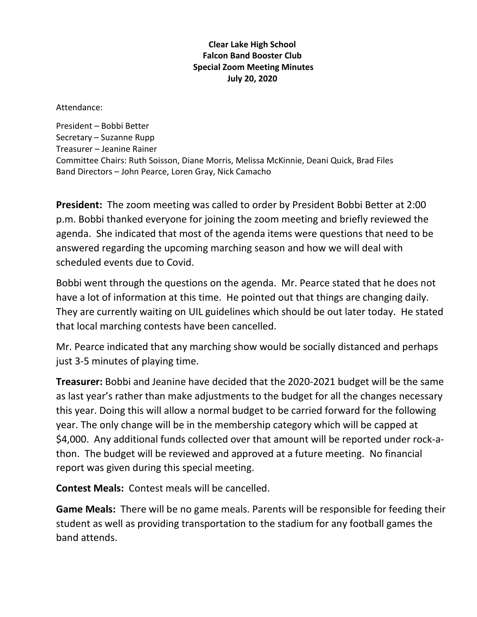## **Clear Lake High School Falcon Band Booster Club Special Zoom Meeting Minutes July 20, 2020**

Attendance:

President – Bobbi Better Secretary – Suzanne Rupp Treasurer – Jeanine Rainer Committee Chairs: Ruth Soisson, Diane Morris, Melissa McKinnie, Deani Quick, Brad Files Band Directors – John Pearce, Loren Gray, Nick Camacho

**President:** The zoom meeting was called to order by President Bobbi Better at 2:00 p.m. Bobbi thanked everyone for joining the zoom meeting and briefly reviewed the agenda. She indicated that most of the agenda items were questions that need to be answered regarding the upcoming marching season and how we will deal with scheduled events due to Covid.

Bobbi went through the questions on the agenda. Mr. Pearce stated that he does not have a lot of information at this time. He pointed out that things are changing daily. They are currently waiting on UIL guidelines which should be out later today. He stated that local marching contests have been cancelled.

Mr. Pearce indicated that any marching show would be socially distanced and perhaps just 3-5 minutes of playing time.

**Treasurer:** Bobbi and Jeanine have decided that the 2020-2021 budget will be the same as last year's rather than make adjustments to the budget for all the changes necessary this year. Doing this will allow a normal budget to be carried forward for the following year. The only change will be in the membership category which will be capped at \$4,000. Any additional funds collected over that amount will be reported under rock-athon. The budget will be reviewed and approved at a future meeting. No financial report was given during this special meeting.

**Contest Meals:** Contest meals will be cancelled.

**Game Meals:** There will be no game meals. Parents will be responsible for feeding their student as well as providing transportation to the stadium for any football games the band attends.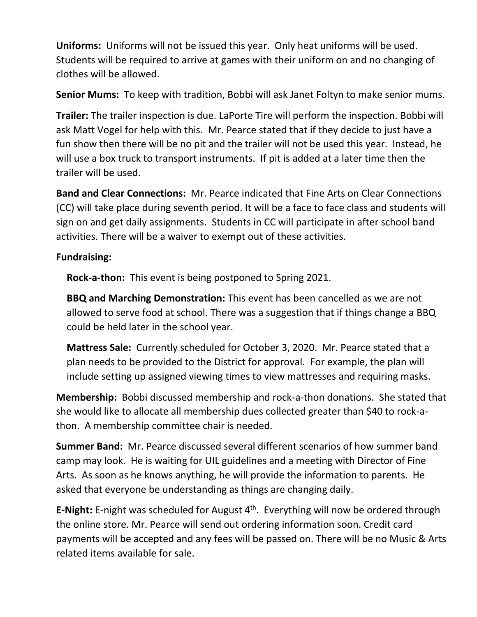**Uniforms:** Uniforms will not be issued this year. Only heat uniforms will be used. Students will be required to arrive at games with their uniform on and no changing of clothes will be allowed.

**Senior Mums:** To keep with tradition, Bobbi will ask Janet Foltyn to make senior mums.

**Trailer:** The trailer inspection is due. LaPorte Tire will perform the inspection. Bobbi will ask Matt Vogel for help with this. Mr. Pearce stated that if they decide to just have a fun show then there will be no pit and the trailer will not be used this year. Instead, he will use a box truck to transport instruments. If pit is added at a later time then the trailer will be used.

**Band and Clear Connections:** Mr. Pearce indicated that Fine Arts on Clear Connections (CC) will take place during seventh period. It will be a face to face class and students will sign on and get daily assignments. Students in CC will participate in after school band activities. There will be a waiver to exempt out of these activities.

## **Fundraising:**

**Rock-a-thon:** This event is being postponed to Spring 2021.

**BBQ and Marching Demonstration:** This event has been cancelled as we are not allowed to serve food at school. There was a suggestion that if things change a BBQ could be held later in the school year.

**Mattress Sale:** Currently scheduled for October 3, 2020. Mr. Pearce stated that a plan needs to be provided to the District for approval. For example, the plan will include setting up assigned viewing times to view mattresses and requiring masks.

**Membership:** Bobbi discussed membership and rock-a-thon donations. She stated that she would like to allocate all membership dues collected greater than \$40 to rock-athon. A membership committee chair is needed.

**Summer Band:** Mr. Pearce discussed several different scenarios of how summer band camp may look. He is waiting for UIL guidelines and a meeting with Director of Fine Arts. As soon as he knows anything, he will provide the information to parents. He asked that everyone be understanding as things are changing daily.

E-Night: E-night was scheduled for August 4<sup>th</sup>. Everything will now be ordered through the online store. Mr. Pearce will send out ordering information soon. Credit card payments will be accepted and any fees will be passed on. There will be no Music & Arts related items available for sale.